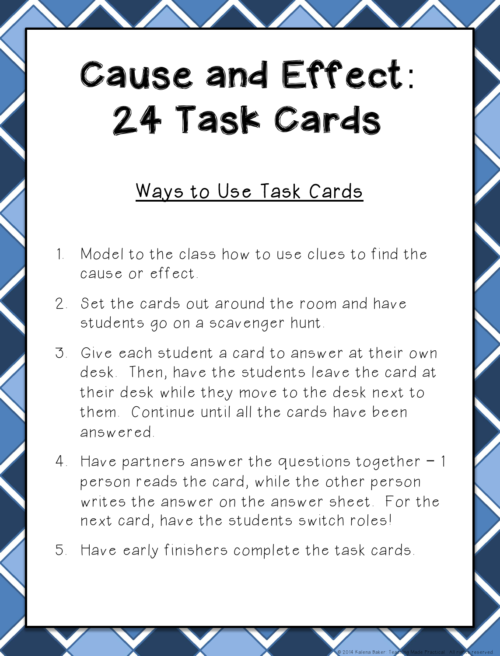# Cause and Effect: 24 Task Cards

### Ways to Use Task Cards

- 1. Model to the class how to use clues to find the cause or effect.
- 2. Set the cards out around the room and have students go on a scavenger hunt.
- 3. Give each student a card to answer at their own desk. Then, have the students leave the card at their desk while they move to the desk next to them. Continue until all the cards have been answered.
- 4. Have partners answer the questions together 1 person reads the card, while the other person writes the answer on the answer sheet. For the next card, have the students switch roles!
- 5. Have early finishers complete the task cards.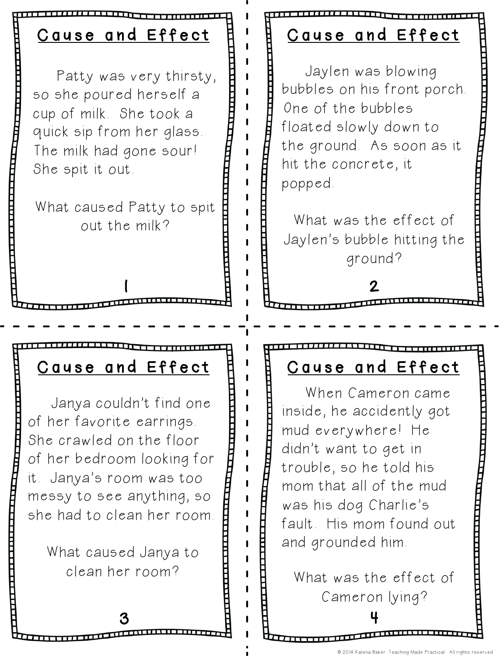Patty was very thirsty, so she poured herself a cup of milk. She took a quick sip from her glass. The milk had gone sour! She spit it out.

What caused Patty to spit out the milk?

1

### Cause and Effect

 Jaylen was blowing bubbles on his front porch. One of the bubbles floated slowly down to the ground. As soon as it hit the concrete, it popped.

What was the effect of Jaylen's bubble hitting the ground?

#### 2

 Janya couldn't find one of her favorite earrings. She crawled on the floor of her bedroom looking for it. Janya's room was too messy to see anything, so she had to clean her room.

> What caused Janya to clean her room?

#### Cause and Effect A ' A Cause and Effect

 When Cameron came inside, he accidently got mud everywhere! He didn't want to get in trouble, so he told his mom that all of the mud was his dog Charlie's fault. His mom found out and grounded him.

What was the effect of Cameron lying?

3 日 日 4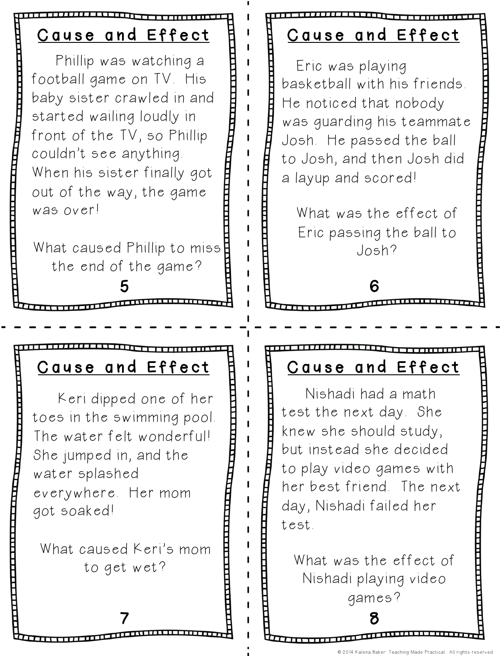#### 5 Cause and Effect 6 Cause and Effect Cause and Effect A ' A Cause and Effect Phillip was watching a football game on TV. His baby sister crawled in and started wailing loudly in front of the TV, so Phillip couldn't see anything. When his sister finally got out of the way, the game was over! What caused Phillip to miss the end of the game? Keri dipped one of her toes in the swimming pool. The water felt wonderful! She jumped in, and the water splashed everywhere. Her mom got soaked! What caused Keri's mom to get wet? Nishadi had a math test the next day. She knew she should study, but instead she decided to play video games with her best friend. The next day, Nishadi failed her test. What was the effect of Nishadi playing video Eric was playing basketball with his friends. He noticed that nobody was guarding his teammate Josh. He passed the ball to Josh, and then Josh did a layup and scored! What was the effect of Eric passing the ball to Josh?

7 8

© 2014 Kalena Baker: Teaching Made Practical. All rights reserved.

games?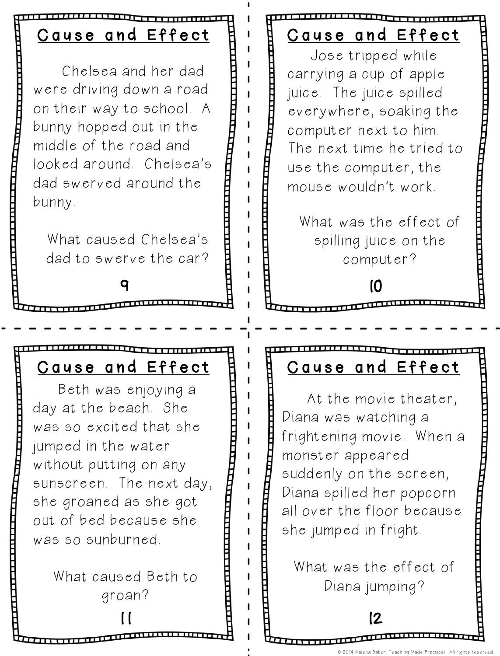Chelsea and her dad were driving down a road on their way to school. A bunny hopped out in the middle of the road and looked around. Chelsea's dad swerved around the bunny.

What caused Chelsea's dad to swerve the car?

9

## Cause and Effect

 Jose tripped while carrying a cup of apple juice. The juice spilled everywhere, soaking the computer next to him. The next time he tried to use the computer, the mouse wouldn't work.

What was the effect of spilling juice on the computer?

10

 Beth was enjoying a day at the beach. She was so excited that she jumped in the water without putting on any sunscreen. The next day, she groaned as she got out of bed because she was so sunburned.

> What caused Beth to groan?

#### Cause and Effect | | | | | | Cause and Effect

 At the movie theater, Diana was watching a frightening movie. When a monster appeared suddenly on the screen, Diana spilled her popcorn all over the floor because she jumped in fright.

What was the effect of Diana jumping?

 $11$  12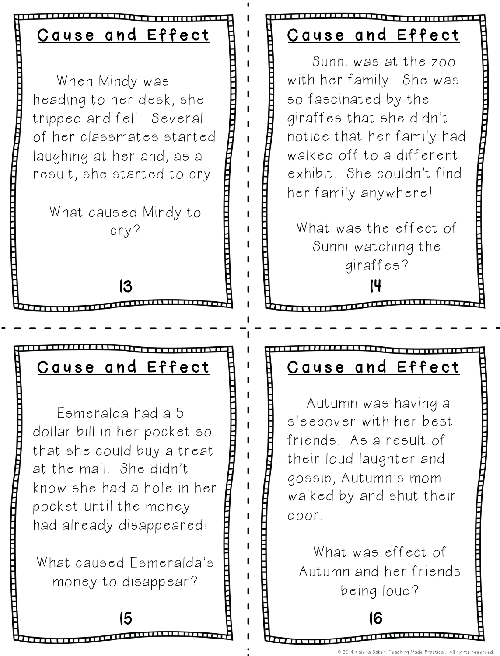When Mindy was heading to her desk, she tripped and fell. Several of her classmates started laughing at her and, as a result, she started to cry.

What caused Mindy to cry?

13

#### Cause and Effect

 Sunni was at the zoo with her family. She was so fascinated by the giraffes that she didn't notice that her family had walked off to a different exhibit. She couldn't find her family anywhere!

14 What was the effect of Sunni watching the giraffes?

 Esmeralda had a 5 dollar bill in her pocket so that she could buy a treat at the mall. She didn't know she had a hole in her pocket until the money had already disappeared!

What caused Esmeralda's money to disappear?

#### Cause and Effect | | | | | | Cause and Effect

 Autumn was having a sleepover with her best friends. As a result of their loud laughter and gossip, Autumn's mom walked by and shut their door.

What was effect of Autumn and her friends being loud?

15 16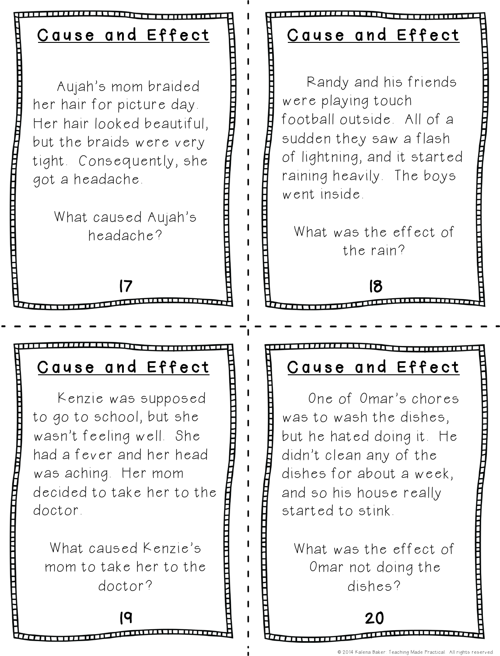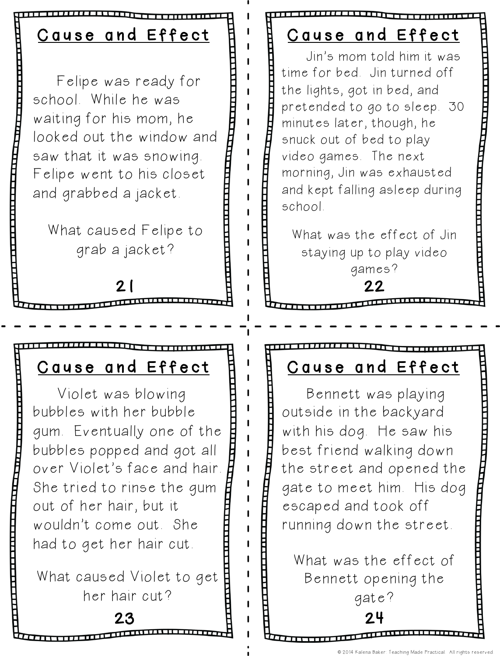Felipe was ready for school. While he was waiting for his mom, he looked out the window and saw that it was snowing. Felipe went to his closet and grabbed a jacket.

What caused Felipe to grab a jacket?

21

 Violet was blowing bubbles with her bubble gum. Eventually one of the bubbles popped and got all over Violet's face and hair. She tried to rinse the gum out of her hair, but it wouldn't come out. She had to get her hair cut.

What caused Violet to get her hair cut?

Cause and Effect

 Jin's mom told him it was time for bed. Jin turned off the lights, got in bed, and pretended to go to sleep. 30 minutes later, though, he snuck out of bed to play video games. The next morning, Jin was exhausted and kept falling asleep during school.

What was the effect of Jin staying up to play video games?



#### Cause and Effect  $A'$  B Cause and Effect

 Bennett was playing outside in the backyard with his dog. He saw his best friend walking down the street and opened the gate to meet him. His dog escaped and took off running down the street.

What was the effect of Bennett opening the gate?

23 24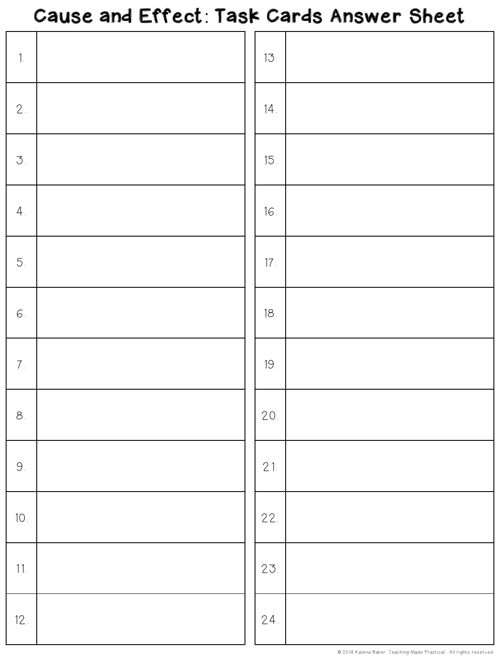#### Cause and Effect: Task Cards Answer Sheet

|  | 13.             |  |
|--|-----------------|--|
|  | 14.             |  |
|  | 15.             |  |
|  | 16.             |  |
|  | 17 <sub>1</sub> |  |
|  | 18.             |  |
|  | 19.             |  |
|  | 20.             |  |
|  | 21.             |  |
|  | 22.             |  |
|  | 23.             |  |
|  | 24.             |  |
|  |                 |  |

© 2014 Kalena Baker: Teaching Made Practical. All rights reserved.